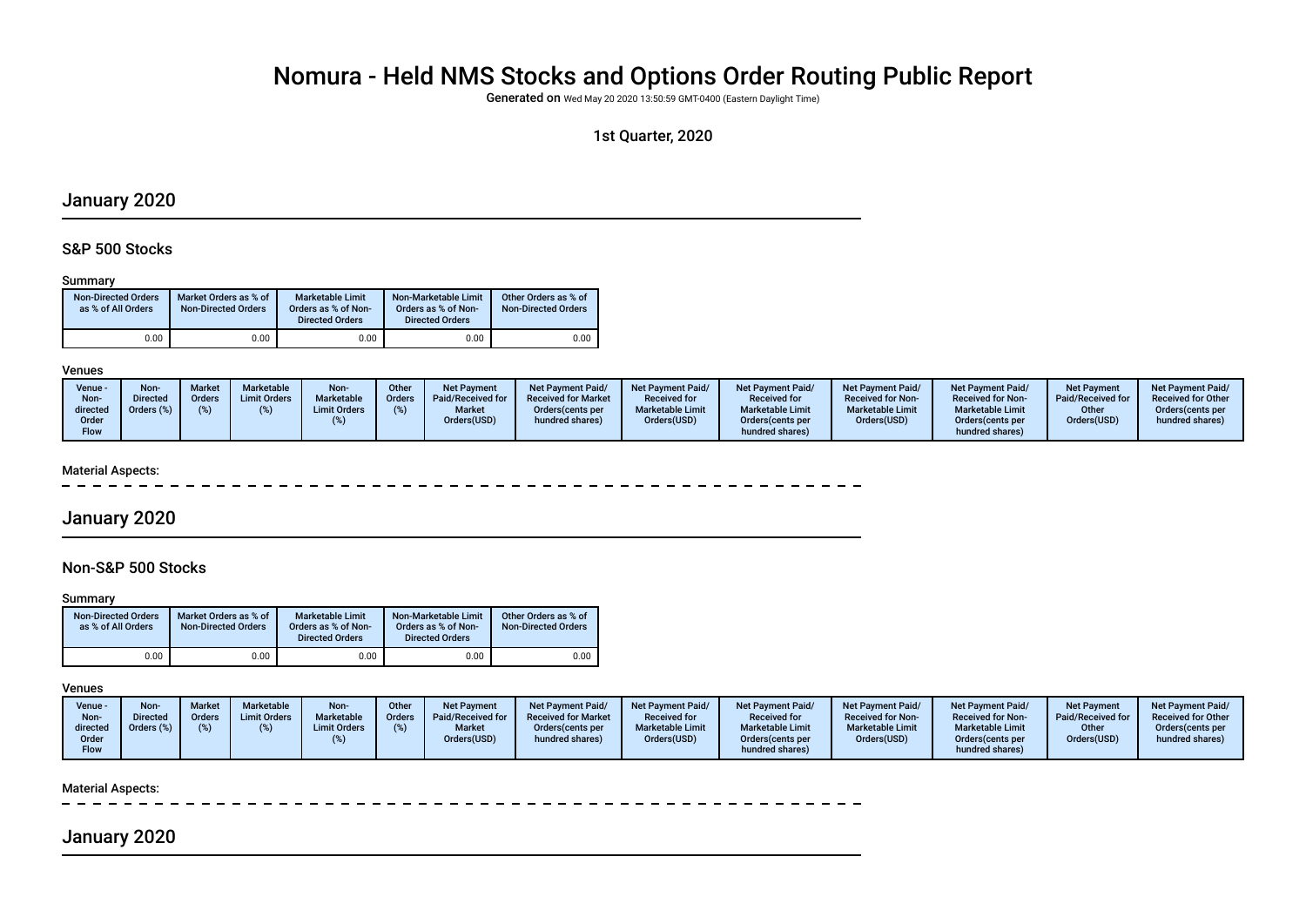# Nomura - Held NMS Stocks and Options Order Routing Public Report

Generated on Wed May 20 2020 13:50:59 GMT-0400 (Eastern Daylight Time)

## 1st Quarter, 2020

## January 2020

### S&P 500 Stocks

#### Summary

| <b>Non-Directed Orders</b><br>as % of All Orders | Market Orders as % of<br><b>Non-Directed Orders</b> | Marketable Limit<br>Orders as % of Non-<br><b>Directed Orders</b> | Non-Marketable Limit<br>Orders as % of Non-<br><b>Directed Orders</b> | Other Orders as % of<br><b>Non-Directed Orders</b> |
|--------------------------------------------------|-----------------------------------------------------|-------------------------------------------------------------------|-----------------------------------------------------------------------|----------------------------------------------------|
| 0.00                                             | 0.00                                                | 0.00                                                              | 0.00                                                                  | 0.00                                               |

#### Venues

| Venue -<br>Non-<br>directed<br>Order<br>Flow | Non-<br><b>Directed</b><br>Orders (%) | <b>Market</b><br><b>Orders</b> | Marketable<br><b>Limit Orders</b> | Non-<br>Marketable<br><b>Limit Orders</b> | Other<br>Orders | Net Payment<br>Paid/Received for<br><b>Market</b><br>Orders(USD) | <b>Net Payment Paid/</b><br><b>Received for Market</b><br>Orders (cents per<br>hundred shares) | <b>Net Payment Paid/</b><br><b>Received for</b><br><b>Marketable Limit</b><br>Orders(USD) | <b>Net Payment Paid/</b><br><b>Received for</b><br><b>Marketable Limit</b><br>Orders (cents per<br>hundred shares) | <b>Net Payment Paid/</b><br><b>Received for Non-</b><br><b>Marketable Limit</b><br>Orders(USD) | <b>Net Payment Paid/</b><br><b>Received for Non-</b><br><b>Marketable Limit</b><br>Orders (cents per<br>hundred shares) | <b>Net Payment</b><br>Paid/Received for<br>Other<br>Orders(USD) | <b>Net Payment Paid/</b><br><b>Received for Other</b><br>Orders cents per<br>hundred shares) |
|----------------------------------------------|---------------------------------------|--------------------------------|-----------------------------------|-------------------------------------------|-----------------|------------------------------------------------------------------|------------------------------------------------------------------------------------------------|-------------------------------------------------------------------------------------------|--------------------------------------------------------------------------------------------------------------------|------------------------------------------------------------------------------------------------|-------------------------------------------------------------------------------------------------------------------------|-----------------------------------------------------------------|----------------------------------------------------------------------------------------------|
|----------------------------------------------|---------------------------------------|--------------------------------|-----------------------------------|-------------------------------------------|-----------------|------------------------------------------------------------------|------------------------------------------------------------------------------------------------|-------------------------------------------------------------------------------------------|--------------------------------------------------------------------------------------------------------------------|------------------------------------------------------------------------------------------------|-------------------------------------------------------------------------------------------------------------------------|-----------------------------------------------------------------|----------------------------------------------------------------------------------------------|

#### Material Aspects:

## January 2020

### Non-S&P 500 Stocks

#### **Summary**

| <b>Non-Directed Orders</b><br>as % of All Orders | Market Orders as % of<br><b>Non-Directed Orders</b> | Marketable Limit<br>Orders as % of Non-<br><b>Directed Orders</b> | Non-Marketable Limit<br>Orders as % of Non-<br><b>Directed Orders</b> | Other Orders as % of<br><b>Non-Directed Orders</b> |
|--------------------------------------------------|-----------------------------------------------------|-------------------------------------------------------------------|-----------------------------------------------------------------------|----------------------------------------------------|
| 0.00                                             | 0.00                                                | 0.00                                                              | 0.00                                                                  | 0.00                                               |

### Venues

| Venue -<br>Non-<br>directed | Non-<br><b>Directed</b><br>Orders (%) | Marke<br>Orders | <b>Marketable</b><br><b>Limit Orders</b> | Non-<br>Marketable<br><b>Limit Orders</b> | Other<br><b>Orders</b> | <b>Net Payment</b><br>Paid/Received for<br><b>Market</b> | <b>Net Payment Paid/</b><br><b>Received for Market</b><br>Orders (cents per | <b>Net Payment Paid/</b><br><b>Received for</b><br><b>Marketable Limit</b> | <b>Net Payment Paid/</b><br><b>Received for</b><br><b>Marketable Limit</b> | <b>Net Payment Paid/</b><br><b>Received for Non-</b><br><b>Marketable Limit</b> | <b>Net Payment Paid/</b><br><b>Received for Non-</b><br><b>Marketable Limit</b> | <b>Net Payment</b><br>Paid/Received for<br>Other | <b>Net Payment Paid/</b><br><b>Received for Other</b><br>Orders(cents per |
|-----------------------------|---------------------------------------|-----------------|------------------------------------------|-------------------------------------------|------------------------|----------------------------------------------------------|-----------------------------------------------------------------------------|----------------------------------------------------------------------------|----------------------------------------------------------------------------|---------------------------------------------------------------------------------|---------------------------------------------------------------------------------|--------------------------------------------------|---------------------------------------------------------------------------|
| Order                       |                                       |                 |                                          |                                           |                        | Orders(USD)                                              | hundred shares)                                                             | Orders(USD)                                                                | Orders (cents per                                                          | Orders(USD)                                                                     | Orders(cents per                                                                | Orders(USD)                                      | hundred shares)                                                           |
| <b>Flow</b>                 |                                       |                 |                                          |                                           |                        |                                                          |                                                                             |                                                                            | hundred shares)                                                            |                                                                                 | hundred shares)                                                                 |                                                  |                                                                           |

#### Material Aspects:

# January 2020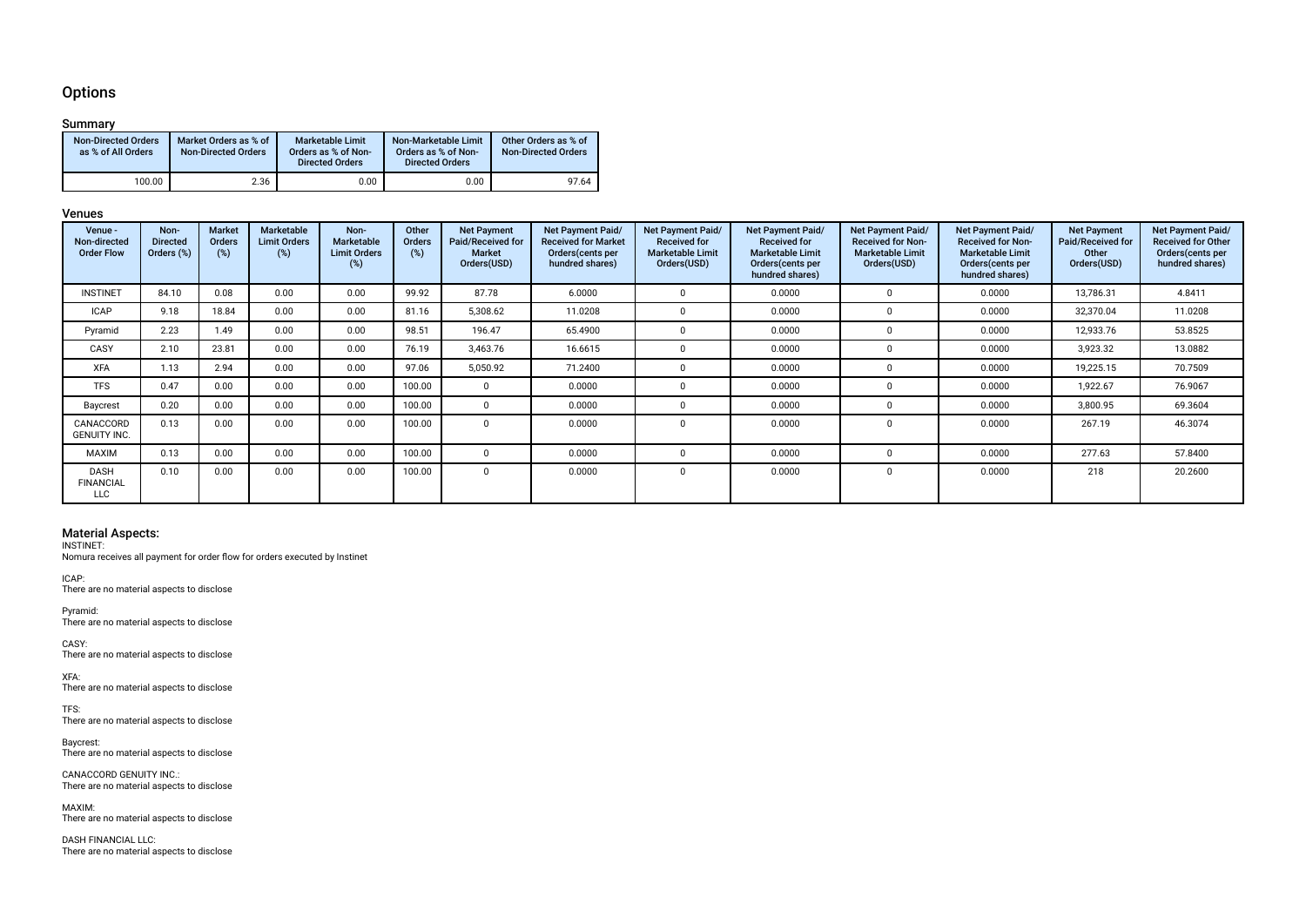### **Options**

#### Summary

| <b>Non-Directed Orders</b><br>as % of All Orders | Market Orders as % of<br><b>Non-Directed Orders</b> | Marketable Limit<br>Orders as % of Non-<br><b>Directed Orders</b> | Non-Marketable Limit<br>Orders as % of Non-<br><b>Directed Orders</b> | Other Orders as % of<br><b>Non-Directed Orders</b> |
|--------------------------------------------------|-----------------------------------------------------|-------------------------------------------------------------------|-----------------------------------------------------------------------|----------------------------------------------------|
| 100.00                                           | 2.36                                                | 0.00                                                              | 0.00                                                                  | 97.64                                              |

### Venues

| Venue -<br>Non-directed<br><b>Order Flow</b>  | Non-<br><b>Directed</b><br>Orders (%) | <b>Market</b><br>Orders<br>$(\%)$ | Marketable<br><b>Limit Orders</b><br>$(\%)$ | Non-<br>Marketable<br><b>Limit Orders</b><br>$(\%)$ | Other<br>Orders<br>(%) | <b>Net Payment</b><br>Paid/Received for<br><b>Market</b><br>Orders(USD) | <b>Net Payment Paid/</b><br><b>Received for Market</b><br>Orders (cents per<br>hundred shares) | Net Payment Paid/<br><b>Received for</b><br><b>Marketable Limit</b><br>Orders(USD) | Net Payment Paid/<br><b>Received for</b><br><b>Marketable Limit</b><br>Orders (cents per<br>hundred shares) | Net Payment Paid/<br><b>Received for Non-</b><br><b>Marketable Limit</b><br>Orders(USD) | Net Payment Paid/<br><b>Received for Non-</b><br><b>Marketable Limit</b><br>Orders(cents per<br>hundred shares) | <b>Net Payment</b><br>Paid/Received for<br>Other<br>Orders(USD) | Net Payment Paid/<br><b>Received for Other</b><br>Orders(cents per<br>hundred shares) |
|-----------------------------------------------|---------------------------------------|-----------------------------------|---------------------------------------------|-----------------------------------------------------|------------------------|-------------------------------------------------------------------------|------------------------------------------------------------------------------------------------|------------------------------------------------------------------------------------|-------------------------------------------------------------------------------------------------------------|-----------------------------------------------------------------------------------------|-----------------------------------------------------------------------------------------------------------------|-----------------------------------------------------------------|---------------------------------------------------------------------------------------|
| <b>INSTINET</b>                               | 84.10                                 | 0.08                              | 0.00                                        | 0.00                                                | 99.92                  | 87.78                                                                   | 6.0000                                                                                         |                                                                                    | 0.0000                                                                                                      |                                                                                         | 0.0000                                                                                                          | 13,786.31                                                       | 4.8411                                                                                |
| <b>ICAP</b>                                   | 9.18                                  | 18.84                             | 0.00                                        | 0.00                                                | 81.16                  | 5,308.62                                                                | 11.0208                                                                                        | $\Omega$                                                                           | 0.0000                                                                                                      | $\Omega$                                                                                | 0.0000                                                                                                          | 32,370.04                                                       | 11.0208                                                                               |
| Pyramid                                       | 2.23                                  | 1.49                              | 0.00                                        | 0.00                                                | 98.51                  | 196.47                                                                  | 65.4900                                                                                        | $\Omega$                                                                           | 0.0000                                                                                                      | $\Omega$                                                                                | 0.0000                                                                                                          | 12,933.76                                                       | 53.8525                                                                               |
| CASY                                          | 2.10                                  | 23.81                             | 0.00                                        | 0.00                                                | 76.19                  | 3,463.76                                                                | 16.6615                                                                                        |                                                                                    | 0.0000                                                                                                      | $\Omega$                                                                                | 0.0000                                                                                                          | 3,923.32                                                        | 13.0882                                                                               |
| <b>XFA</b>                                    | 1.13                                  | 2.94                              | 0.00                                        | 0.00                                                | 97.06                  | 5,050.92                                                                | 71.2400                                                                                        | $\Omega$                                                                           | 0.0000                                                                                                      | $\Omega$                                                                                | 0.0000                                                                                                          | 19,225.15                                                       | 70.7509                                                                               |
| <b>TFS</b>                                    | 0.47                                  | 0.00                              | 0.00                                        | 0.00                                                | 100.00                 |                                                                         | 0.0000                                                                                         | $\Omega$                                                                           | 0.0000                                                                                                      | $\Omega$                                                                                | 0.0000                                                                                                          | 1,922.67                                                        | 76.9067                                                                               |
| Baycrest                                      | 0.20                                  | 0.00                              | 0.00                                        | 0.00                                                | 100.00                 |                                                                         | 0.0000                                                                                         | $\Omega$                                                                           | 0.0000                                                                                                      | $\Omega$                                                                                | 0.0000                                                                                                          | 3,800.95                                                        | 69.3604                                                                               |
| CANACCORD<br><b>GENUITY INC.</b>              | 0.13                                  | 0.00                              | 0.00                                        | 0.00                                                | 100.00                 |                                                                         | 0.0000                                                                                         |                                                                                    | 0.0000                                                                                                      | $\Omega$                                                                                | 0.0000                                                                                                          | 267.19                                                          | 46.3074                                                                               |
| MAXIM                                         | 0.13                                  | 0.00                              | 0.00                                        | 0.00                                                | 100.00                 |                                                                         | 0.0000                                                                                         |                                                                                    | 0.0000                                                                                                      |                                                                                         | 0.0000                                                                                                          | 277.63                                                          | 57.8400                                                                               |
| <b>DASH</b><br><b>FINANCIAL</b><br><b>LLC</b> | 0.10                                  | 0.00                              | 0.00                                        | 0.00                                                | 100.00                 |                                                                         | 0.0000                                                                                         |                                                                                    | 0.0000                                                                                                      | $\Omega$                                                                                | 0.0000                                                                                                          | 218                                                             | 20.2600                                                                               |

#### Material Aspects:

INSTINET:

Nomura receives all payment for order fow for orders executed by Instinet

ICAP: There are no material aspects to disclose

Pyramid: There are no material aspects to disclose

CASY: There are no material aspects to disclose

XFA: There are no material aspects to disclose

TFS: There are no material aspects to disclose

Baycrest: There are no material aspects to disclose

CANACCORD GENUITY INC.: There are no material aspects to disclose

MAXIM: There are no material aspects to disclose

DASH FINANCIAL LLC: There are no material aspects to disclose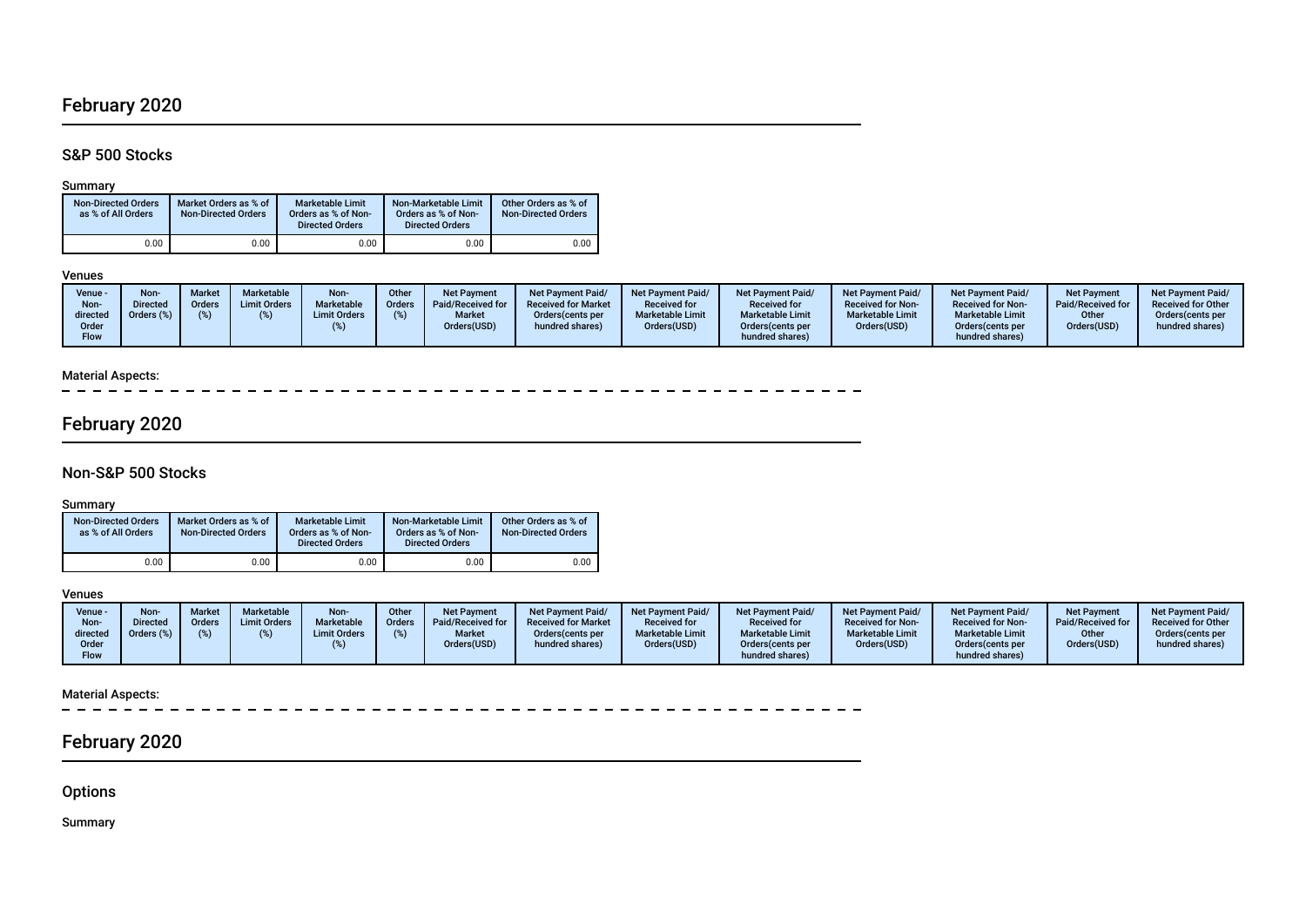# February 2020

## S&P 500 Stocks

### Summary

| <b>Non-Directed Orders</b><br>as % of All Orders | Market Orders as % of<br><b>Non-Directed Orders</b> | Marketable Limit<br>Orders as % of Non-<br><b>Directed Orders</b> | Non-Marketable Limit<br>Orders as % of Non-<br><b>Directed Orders</b> | Other Orders as % of<br><b>Non-Directed Orders</b> |
|--------------------------------------------------|-----------------------------------------------------|-------------------------------------------------------------------|-----------------------------------------------------------------------|----------------------------------------------------|
| 0.00                                             | 0.00                                                | 0.00                                                              | 0.00                                                                  | 0.00                                               |

### Venues

# Material Aspects:<br> $- - - - - -$

# February 2020

## Non-S&P 500 Stocks

Summary

| <b>Non-Directed Orders</b><br>as % of All Orders | Market Orders as % of<br><b>Non-Directed Orders</b> | <b>Marketable Limit</b><br>Orders as % of Non-<br><b>Directed Orders</b> | Non-Marketable Limit<br>Orders as % of Non-<br><b>Directed Orders</b> | Other Orders as % of<br><b>Non-Directed Orders</b> |
|--------------------------------------------------|-----------------------------------------------------|--------------------------------------------------------------------------|-----------------------------------------------------------------------|----------------------------------------------------|
| 0.00                                             | 0.00                                                | 0.00                                                                     | 0.00                                                                  | 0.00                                               |

### Venues

| Venue -<br>Non-<br>directed | Non-<br><b>Directed</b><br>Orders $(\%)$ | <b>Market</b><br>Orders | Marketable<br><b>Limit Orders</b> | Non-<br>Marketable<br><b>Limit Orders</b> | Other<br><b>Orders</b> | Net Payment<br>Paid/Received for<br><b>Market</b> | Net Payment Paid/<br><b>Received for Market</b><br>Orders (cents per | <b>Net Payment Paid/</b><br><b>Received for</b><br><b>Marketable Limit</b> | Net Payment Paid/<br><b>Received for</b><br><b>Marketable Limit</b> | <b>Net Payment Paid/</b><br><b>Received for Non-</b><br><b>Marketable Limit</b> | <b>Net Payment Paid/</b><br><b>Received for Non-</b><br><b>Marketable Limit</b> | <b>Net Payment</b><br>Paid/Received for<br>Other | <b>Net Payment Paid/</b><br><b>Received for Other</b><br>Orders (cents per |
|-----------------------------|------------------------------------------|-------------------------|-----------------------------------|-------------------------------------------|------------------------|---------------------------------------------------|----------------------------------------------------------------------|----------------------------------------------------------------------------|---------------------------------------------------------------------|---------------------------------------------------------------------------------|---------------------------------------------------------------------------------|--------------------------------------------------|----------------------------------------------------------------------------|
| Order<br>Flow               |                                          |                         |                                   |                                           |                        | Orders(USD)                                       | hundred shares)                                                      | Orders(USD)                                                                | Orders(cents per<br>hundred shares)                                 | Orders(USD)                                                                     | Orders(cents per<br>hundred shares)                                             | Orders(USD)                                      | hundred shares)                                                            |

# Material Aspects:<br> $- - - - -$

 $-$ 

# February 2020

**Options** 

Summary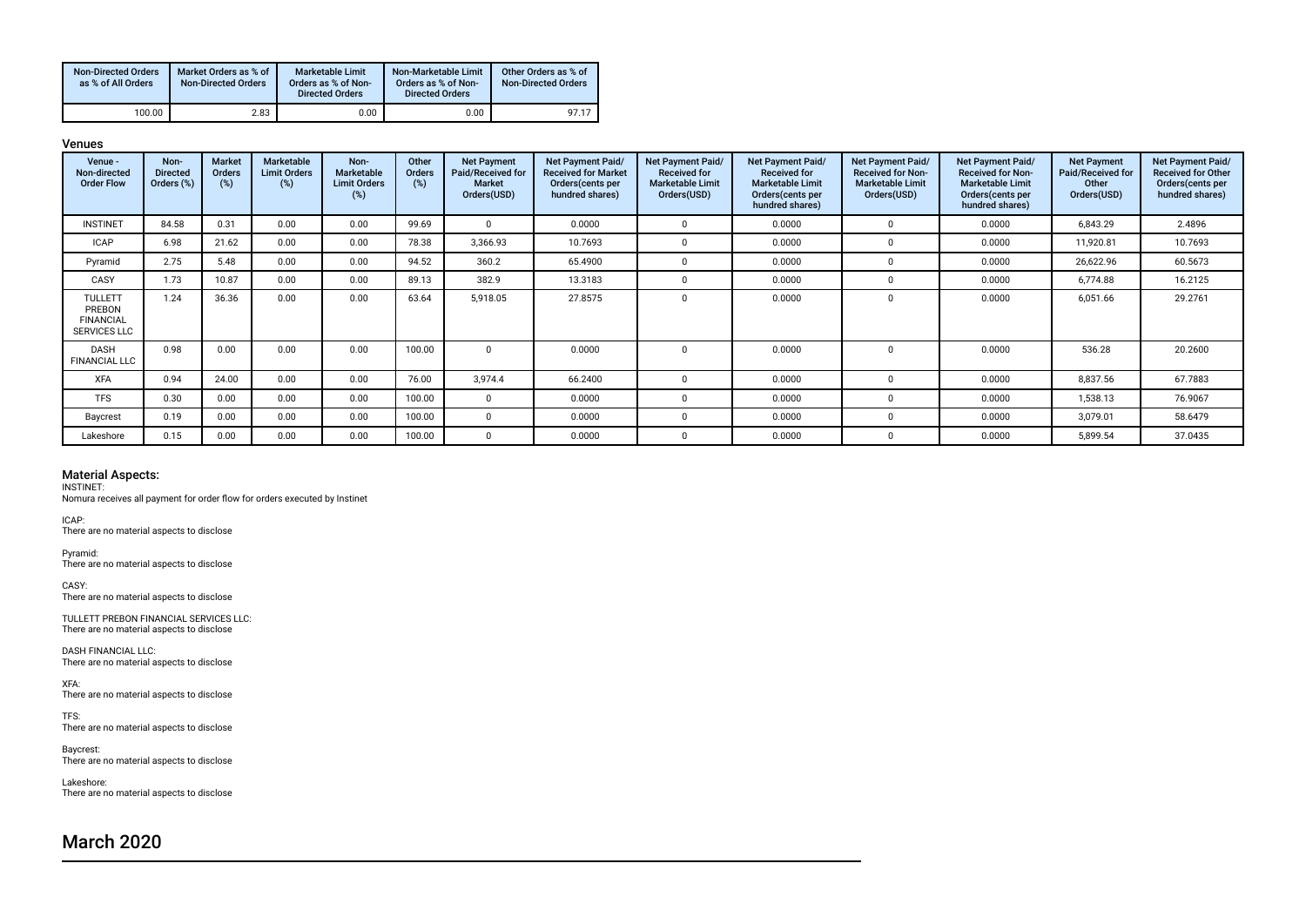| <b>Non-Directed Orders</b><br>as % of All Orders | Market Orders as % of<br><b>Non-Directed Orders</b> | Marketable Limit<br>Orders as % of Non-<br><b>Directed Orders</b> | Non-Marketable Limit<br>Orders as % of Non-<br><b>Directed Orders</b> | Other Orders as % of<br><b>Non-Directed Orders</b> |
|--------------------------------------------------|-----------------------------------------------------|-------------------------------------------------------------------|-----------------------------------------------------------------------|----------------------------------------------------|
| 100.00                                           | 2.83                                                | 0.00                                                              | 0.00                                                                  | 97.17                                              |

#### Venues

| Venue -<br>Non-directed<br><b>Order Flow</b>                        | Non-<br><b>Directed</b><br>Orders (%) | Market<br>Orders<br>(%) | Marketable<br><b>Limit Orders</b><br>(%) | Non-<br><b>Marketable</b><br><b>Limit Orders</b><br>(%) | Other<br><b>Orders</b><br>(%) | <b>Net Payment</b><br>Paid/Received for<br>Market<br>Orders(USD) | <b>Net Payment Paid/</b><br><b>Received for Market</b><br>Orders (cents per<br>hundred shares) | Net Payment Paid/<br><b>Received for</b><br><b>Marketable Limit</b><br>Orders(USD) | Net Payment Paid/<br><b>Received for</b><br><b>Marketable Limit</b><br>Orders(cents per<br>hundred shares) | <b>Net Payment Paid/</b><br><b>Received for Non-</b><br><b>Marketable Limit</b><br>Orders(USD) | Net Payment Paid/<br><b>Received for Non-</b><br><b>Marketable Limit</b><br>Orders (cents per<br>hundred shares) | <b>Net Payment</b><br>Paid/Received for<br>Other<br>Orders(USD) | Net Payment Paid/<br><b>Received for Other</b><br>Orders (cents per<br>hundred shares) |
|---------------------------------------------------------------------|---------------------------------------|-------------------------|------------------------------------------|---------------------------------------------------------|-------------------------------|------------------------------------------------------------------|------------------------------------------------------------------------------------------------|------------------------------------------------------------------------------------|------------------------------------------------------------------------------------------------------------|------------------------------------------------------------------------------------------------|------------------------------------------------------------------------------------------------------------------|-----------------------------------------------------------------|----------------------------------------------------------------------------------------|
| <b>INSTINET</b>                                                     | 84.58                                 | 0.31                    | 0.00                                     | 0.00                                                    | 99.69                         |                                                                  | 0.0000                                                                                         |                                                                                    | 0.0000                                                                                                     | $\Omega$                                                                                       | 0.0000                                                                                                           | 6,843.29                                                        | 2.4896                                                                                 |
| <b>ICAP</b>                                                         | 6.98                                  | 21.62                   | 0.00                                     | 0.00                                                    | 78.38                         | 3,366.93                                                         | 10.7693                                                                                        |                                                                                    | 0.0000                                                                                                     |                                                                                                | 0.0000                                                                                                           | 11,920.81                                                       | 10.7693                                                                                |
| Pyramid                                                             | 2.75                                  | 5.48                    | 0.00                                     | 0.00                                                    | 94.52                         | 360.2                                                            | 65.4900                                                                                        |                                                                                    | 0.0000                                                                                                     |                                                                                                | 0.0000                                                                                                           | 26,622.96                                                       | 60.5673                                                                                |
| CASY                                                                | 1.73                                  | 10.87                   | 0.00                                     | 0.00                                                    | 89.13                         | 382.9                                                            | 13.3183                                                                                        |                                                                                    | 0.0000                                                                                                     |                                                                                                | 0.0000                                                                                                           | 6,774.88                                                        | 16.2125                                                                                |
| <b>TULLETT</b><br>PREBON<br><b>FINANCIAL</b><br><b>SERVICES LLC</b> | 1.24                                  | 36.36                   | 0.00                                     | 0.00                                                    | 63.64                         | 5,918.05                                                         | 27.8575                                                                                        |                                                                                    | 0.0000                                                                                                     |                                                                                                | 0.0000                                                                                                           | 6,051.66                                                        | 29.2761                                                                                |
| <b>DASH</b><br><b>FINANCIAL LLC</b>                                 | 0.98                                  | 0.00                    | 0.00                                     | 0.00                                                    | 100.00                        |                                                                  | 0.0000                                                                                         |                                                                                    | 0.0000                                                                                                     |                                                                                                | 0.0000                                                                                                           | 536.28                                                          | 20.2600                                                                                |
| <b>XFA</b>                                                          | 0.94                                  | 24.00                   | 0.00                                     | 0.00                                                    | 76.00                         | 3.974.4                                                          | 66.2400                                                                                        |                                                                                    | 0.0000                                                                                                     |                                                                                                | 0.0000                                                                                                           | 8,837.56                                                        | 67.7883                                                                                |
| <b>TFS</b>                                                          | 0.30                                  | 0.00                    | 0.00                                     | 0.00                                                    | 100.00                        |                                                                  | 0.0000                                                                                         |                                                                                    | 0.0000                                                                                                     |                                                                                                | 0.0000                                                                                                           | 1,538.13                                                        | 76.9067                                                                                |
| Baycrest                                                            | 0.19                                  | 0.00                    | 0.00                                     | 0.00                                                    | 100.00                        |                                                                  | 0.0000                                                                                         |                                                                                    | 0.0000                                                                                                     |                                                                                                | 0.0000                                                                                                           | 3,079.01                                                        | 58.6479                                                                                |
| Lakeshore                                                           | 0.15                                  | 0.00                    | 0.00                                     | 0.00                                                    | 100.00                        |                                                                  | 0.0000                                                                                         |                                                                                    | 0.0000                                                                                                     |                                                                                                | 0.0000                                                                                                           | 5,899.54                                                        | 37.0435                                                                                |

#### Material Aspects:

INSTINET:

Nomura receives all payment for order fow for orders executed by Instinet

ICAP:

There are no material aspects to disclose

Pyramid: There are no material aspects to disclose

CASY: There are no material aspects to disclose

TULLETT PREBON FINANCIAL SERVICES LLC: There are no material aspects to disclose

DASH FINANCIAL LLC: There are no material aspects to disclose

XFA: There are no material aspects to disclose

TFS: There are no material aspects to disclose

Baycrest: There are no material aspects to disclose

Lakeshore: There are no material aspects to disclose

# March 2020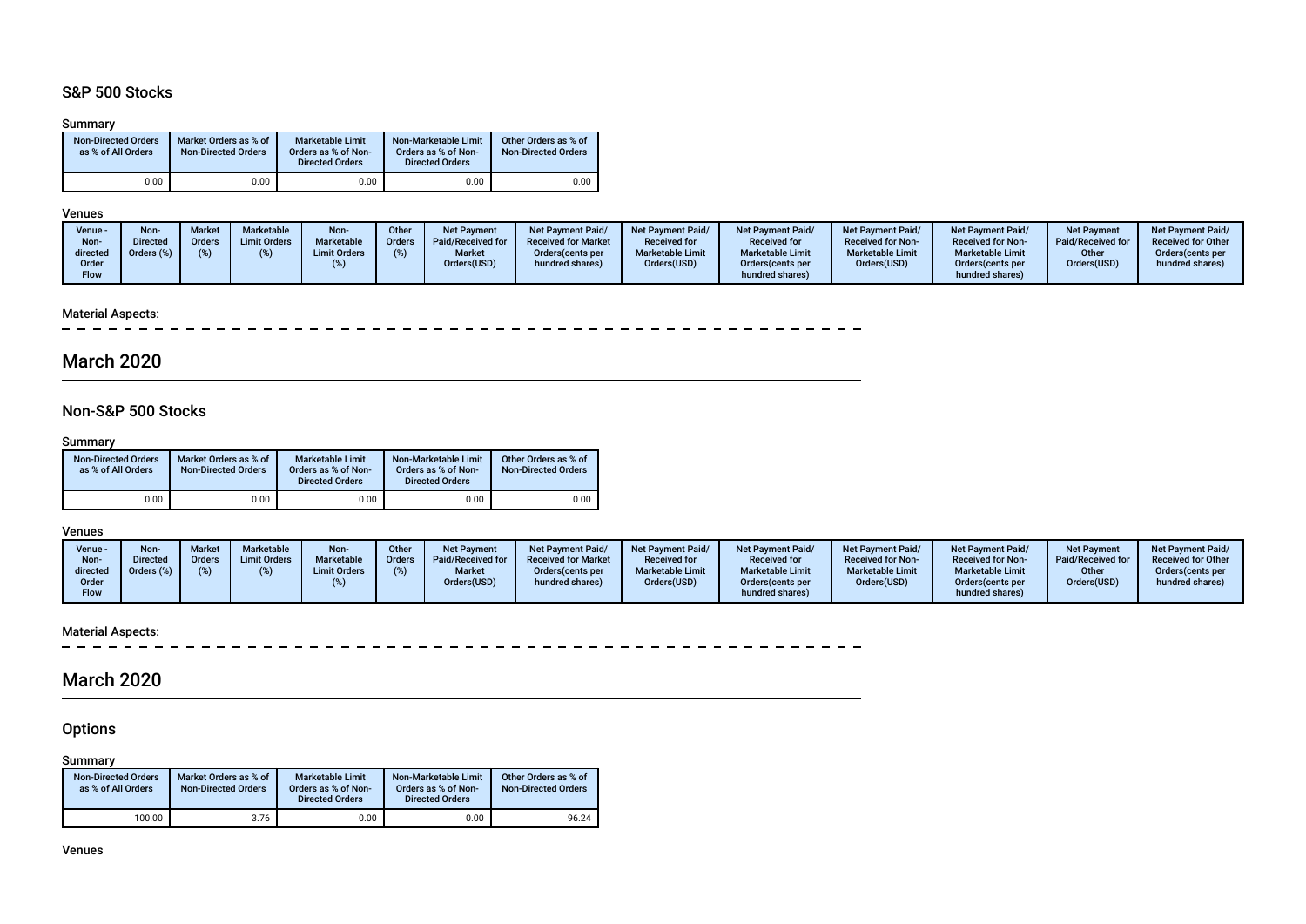## S&P 500 Stocks

### Summary

| <b>Non-Directed Orders</b><br>as % of All Orders | Market Orders as % of<br><b>Non-Directed Orders</b> | <b>Marketable Limit</b><br>Orders as % of Non-<br><b>Directed Orders</b> | Non-Marketable Limit<br>Orders as % of Non-<br><b>Directed Orders</b> | Other Orders as % of<br><b>Non-Directed Orders</b> |  |  |
|--------------------------------------------------|-----------------------------------------------------|--------------------------------------------------------------------------|-----------------------------------------------------------------------|----------------------------------------------------|--|--|
| 0.00                                             | 0.00                                                | 0.00                                                                     | 0.00                                                                  | 0.00                                               |  |  |

### Venues

| Venue \<br>Non-<br>directed<br>Order<br>Flow | Non-<br><b>Directed</b><br>Orders (%) | <b>Market</b><br>Orders | <b>Marketable</b><br><b>Limit Orders</b> | Non-<br><b>Marketable</b><br><b>Limit Orders</b> | <b>Other</b><br><b>Orders</b> | <b>Net Payment</b><br>Paid/Received for<br><b>Market</b><br>Orders(USD) | <b>Net Payment Paid/</b><br><b>Received for Market</b><br>Orders (cents per<br>hundred shares) | <b>Net Payment Paid/</b><br><b>Received for</b><br><b>Marketable Limit</b><br>Orders(USD) | <b>Net Payment Paid/</b><br><b>Received for</b><br><b>Marketable Limit</b><br>Orders (cents per<br>hundred shares) | <b>Net Payment Paid/</b><br><b>Received for Non-</b><br><b>Marketable Limit</b><br>Orders(USD) | <b>Net Payment Paid/</b><br><b>Received for Non-</b><br><b>Marketable Limit</b><br>Orders (cents per<br>hundred shares) | <b>Net Payment</b><br>Paid/Received for<br>Other<br>Orders(USD) | <b>Net Payment Paid/</b><br><b>Received for Other</b><br>Orders (cents per<br>hundred shares) |
|----------------------------------------------|---------------------------------------|-------------------------|------------------------------------------|--------------------------------------------------|-------------------------------|-------------------------------------------------------------------------|------------------------------------------------------------------------------------------------|-------------------------------------------------------------------------------------------|--------------------------------------------------------------------------------------------------------------------|------------------------------------------------------------------------------------------------|-------------------------------------------------------------------------------------------------------------------------|-----------------------------------------------------------------|-----------------------------------------------------------------------------------------------|
|----------------------------------------------|---------------------------------------|-------------------------|------------------------------------------|--------------------------------------------------|-------------------------------|-------------------------------------------------------------------------|------------------------------------------------------------------------------------------------|-------------------------------------------------------------------------------------------|--------------------------------------------------------------------------------------------------------------------|------------------------------------------------------------------------------------------------|-------------------------------------------------------------------------------------------------------------------------|-----------------------------------------------------------------|-----------------------------------------------------------------------------------------------|

### Material Aspects:

 $\overline{\phantom{a}}$ 

# March 2020

## Non-S&P 500 Stocks

### Summary

| <b>Non-Directed Orders</b><br>as % of All Orders | Market Orders as % of<br><b>Non-Directed Orders</b> | <b>Marketable Limit</b><br>Orders as % of Non-<br><b>Directed Orders</b> | Non-Marketable Limit<br>Orders as % of Non-<br><b>Directed Orders</b> | Other Orders as % of<br><b>Non-Directed Orders</b> |  |  |
|--------------------------------------------------|-----------------------------------------------------|--------------------------------------------------------------------------|-----------------------------------------------------------------------|----------------------------------------------------|--|--|
| 0.00                                             | 0.00                                                | 0.00                                                                     | 0.00                                                                  | 0.00                                               |  |  |

### Venues

| Venue -<br>Non-<br>directed<br>Order | Non-<br><b>Directed</b><br>Orders (%) | <b>Market</b><br>Orders | <b>Marketable</b><br><b>Limit Orders</b> | Non-<br>Marketable<br><b>Limit Orders</b> | Other<br><b>Orders</b> | <b>Net Payment</b><br>Paid/Received for<br><b>Market</b><br>Orders(USD) | <b>Net Payment Paid/</b><br><b>Received for Market</b><br>Orders (cents per<br>hundred shares) | <b>Net Payment Paid/</b><br><b>Received for</b><br><b>Marketable Limit</b><br>Orders(USD) | <b>Net Payment Paid/</b><br><b>Received for</b><br><b>Marketable Limit</b><br>Orders (cents per | Net Payment Paid/<br><b>Received for Non-</b><br><b>Marketable Limit</b><br>Orders(USD) | <b>Net Payment Paid/</b><br><b>Received for Non-</b><br><b>Marketable Limit</b><br>Orders (cents per | <b>Net Payment</b><br>Paid/Received for<br>Other<br>Orders(USD) | <b>Net Payment Paid/</b><br><b>Received for Other</b><br>Orders (cents per<br>hundred shares) |
|--------------------------------------|---------------------------------------|-------------------------|------------------------------------------|-------------------------------------------|------------------------|-------------------------------------------------------------------------|------------------------------------------------------------------------------------------------|-------------------------------------------------------------------------------------------|-------------------------------------------------------------------------------------------------|-----------------------------------------------------------------------------------------|------------------------------------------------------------------------------------------------------|-----------------------------------------------------------------|-----------------------------------------------------------------------------------------------|
| <b>Flow</b>                          |                                       |                         |                                          |                                           |                        |                                                                         |                                                                                                |                                                                                           | hundred shares)                                                                                 |                                                                                         | hundred shares)                                                                                      |                                                                 |                                                                                               |

## Material Aspects:

 $\equiv$ 

# March 2020

## **Options**

### Summary

| <b>Non-Directed Orders</b><br>as % of All Orders | Market Orders as % of<br><b>Non-Directed Orders</b> | <b>Marketable Limit</b><br>Orders as % of Non-<br><b>Directed Orders</b> | Non-Marketable Limit<br>Orders as % of Non-<br><b>Directed Orders</b> | Other Orders as % of<br><b>Non-Directed Orders</b> |  |
|--------------------------------------------------|-----------------------------------------------------|--------------------------------------------------------------------------|-----------------------------------------------------------------------|----------------------------------------------------|--|
| 100.00                                           | 3.76                                                | 0.00                                                                     | 0.00                                                                  | 96.24                                              |  |